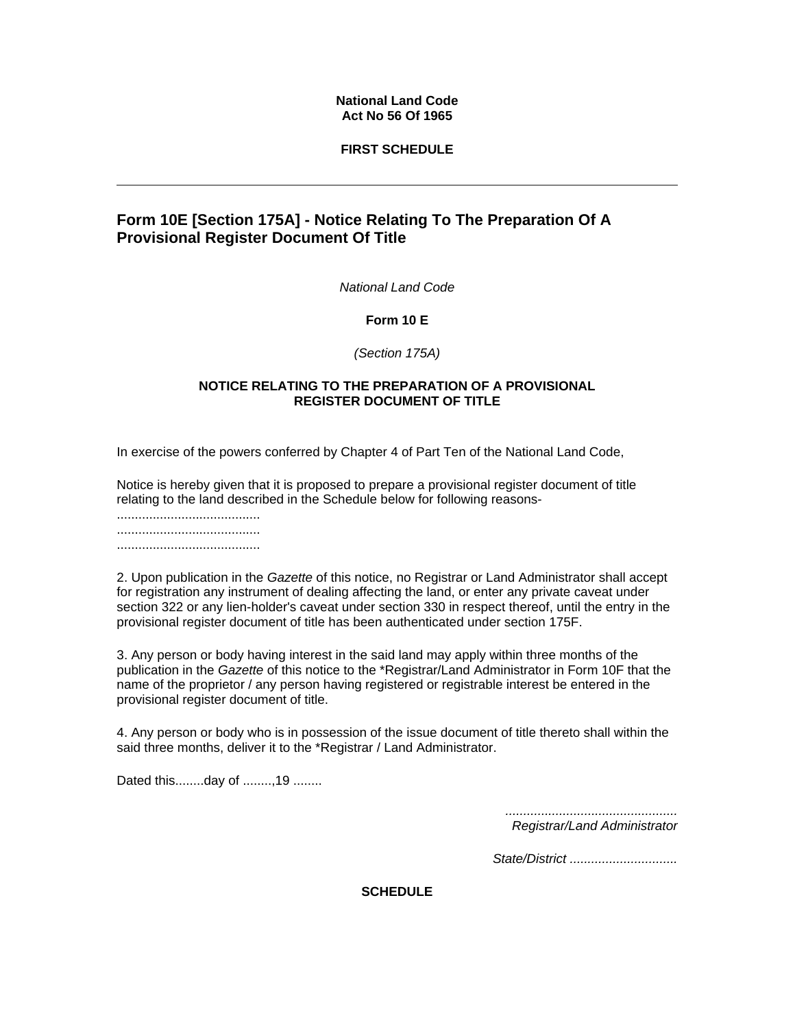## **National Land Code Act No 56 Of 1965**

# **FIRST SCHEDULE**

# **Form 10E [Section 175A] - Notice Relating To The Preparation Of A Provisional Register Document Of Title**

*National Land Code* 

**Form 10 E**

*(Section 175A)* 

## **NOTICE RELATING TO THE PREPARATION OF A PROVISIONAL REGISTER DOCUMENT OF TITLE**

In exercise of the powers conferred by Chapter 4 of Part Ten of the National Land Code,

Notice is hereby given that it is proposed to prepare a provisional register document of title relating to the land described in the Schedule below for following reasons-

........................................ ........................................ ........................................

2. Upon publication in the *Gazette* of this notice, no Registrar or Land Administrator shall accept for registration any instrument of dealing affecting the land, or enter any private caveat under section 322 or any lien-holder's caveat under section 330 in respect thereof, until the entry in the provisional register document of title has been authenticated under section 175F.

3. Any person or body having interest in the said land may apply within three months of the publication in the *Gazette* of this notice to the \*Registrar/Land Administrator in Form 10F that the name of the proprietor / any person having registered or registrable interest be entered in the provisional register document of title.

4. Any person or body who is in possession of the issue document of title thereto shall within the said three months, deliver it to the \*Registrar / Land Administrator.

Dated this........day of ........,19 ........

*................................................ Registrar/Land Administrator* 

*State/District ..............................* 

**SCHEDULE**